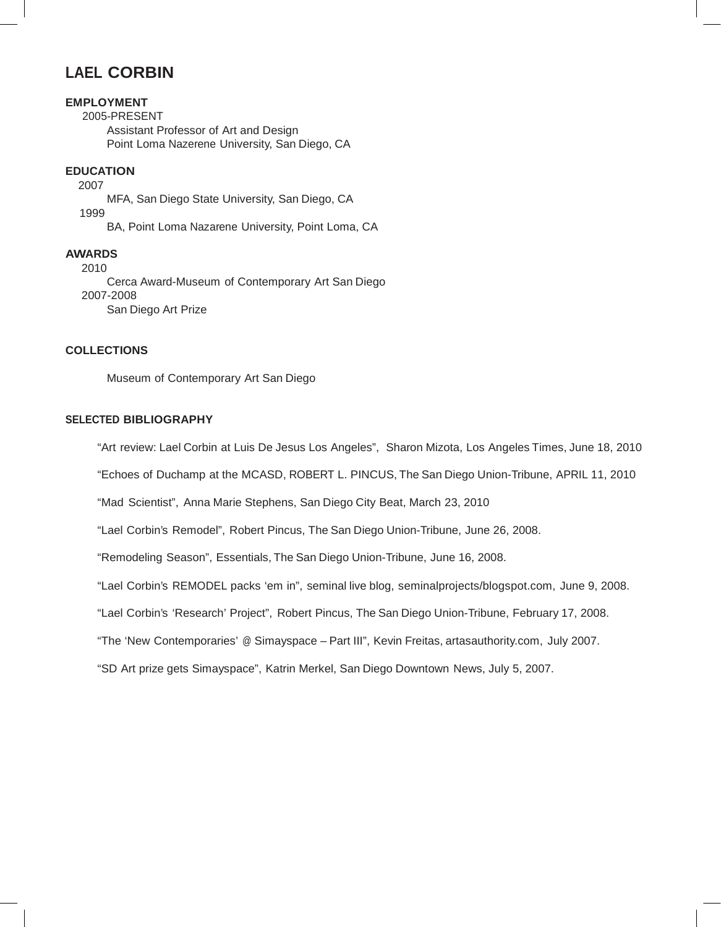# **LAEL CORBIN**

## **EMPLOYMENT**

2005-PRESENT Assistant Professor of Art and Design Point Loma Nazerene University, San Diego, CA

## **EDUCATION**

2007 1999 MFA, San Diego State University, San Diego, CA BA, Point Loma Nazarene University, Point Loma, CA

## **AWARDS**

2010 Cerca Award-Museum of Contemporary Art San Diego 2007-2008 San Diego Art Prize

## **COLLECTIONS**

Museum of Contemporary Art San Diego

#### **SELECTED BIBLIOGRAPHY**

"Art review: Lael Corbin at Luis De Jesus Los Angeles", Sharon Mizota, Los Angeles Times, June 18, 2010

"Echoes of Duchamp at the MCASD, ROBERT L. PINCUS, The San Diego Union-Tribune, APRIL 11, 2010

"Mad Scientist", Anna Marie Stephens, San Diego City Beat, March 23, 2010

"Lael Corbin's Remodel", Robert Pincus, The San Diego Union-Tribune, June 26, 2008.

"Remodeling Season", Essentials, The San Diego Union-Tribune, June 16, 2008.

"Lael Corbin's REMODEL packs 'em in", seminal live blog, seminalprojects/blogspot.com, June 9, 2008.

"Lael Corbin's 'Research' Project", Robert Pincus, The San Diego Union-Tribune, February 17, 2008.

"The 'New Contemporaries' @ Simayspace – Part III", Kevin Freitas, artasauthority.com, July 2007.

"SD Art prize gets Simayspace", Katrin Merkel, San Diego Downtown News, July 5, 2007.